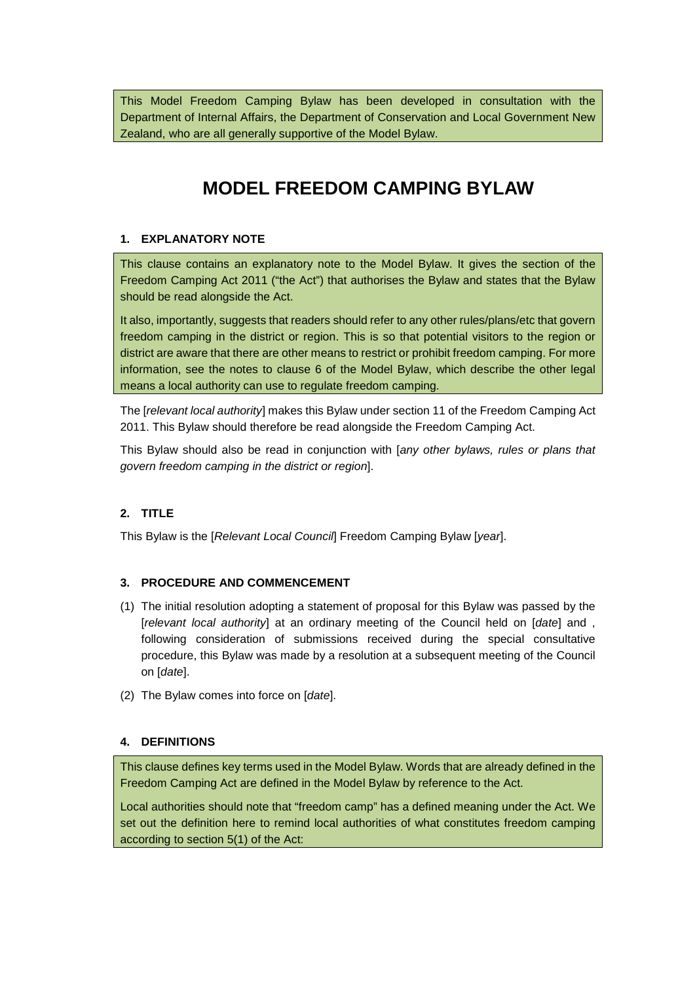This Model Freedom Camping Bylaw has been developed in consultation with the Department of Internal Affairs, the Department of Conservation and Local Government New Zealand, who are all generally supportive of the Model Bylaw.

# **MODEL FREEDOM CAMPING BYLAW**

#### **1. EXPLANATORY NOTE**

This clause contains an explanatory note to the Model Bylaw. It gives the section of the Freedom Camping Act 2011 ("the Act") that authorises the Bylaw and states that the Bylaw should be read alongside the Act.

It also, importantly, suggests that readers should refer to any other rules/plans/etc that govern freedom camping in the district or region. This is so that potential visitors to the region or district are aware that there are other means to restrict or prohibit freedom camping. For more information, see the notes to clause 6 of the Model Bylaw, which describe the other legal means a local authority can use to regulate freedom camping.

The [*relevant local authority*] makes this Bylaw under section 11 of the Freedom Camping Act 2011. This Bylaw should therefore be read alongside the Freedom Camping Act.

This Bylaw should also be read in conjunction with [*any other bylaws, rules or plans that govern freedom camping in the district or region*].

## **2. TITLE**

This Bylaw is the [*Relevant Local Council*] Freedom Camping Bylaw [*year*].

## **3. PROCEDURE AND COMMENCEMENT**

- (1) The initial resolution adopting a statement of proposal for this Bylaw was passed by the [*relevant local authority*] at an ordinary meeting of the Council held on [*date*] and , following consideration of submissions received during the special consultative procedure, this Bylaw was made by a resolution at a subsequent meeting of the Council on [*date*].
- (2) The Bylaw comes into force on [*date*].

## **4. DEFINITIONS**

This clause defines key terms used in the Model Bylaw. Words that are already defined in the Freedom Camping Act are defined in the Model Bylaw by reference to the Act.

Local authorities should note that "freedom camp" has a defined meaning under the Act. We set out the definition here to remind local authorities of what constitutes freedom camping according to section 5(1) of the Act: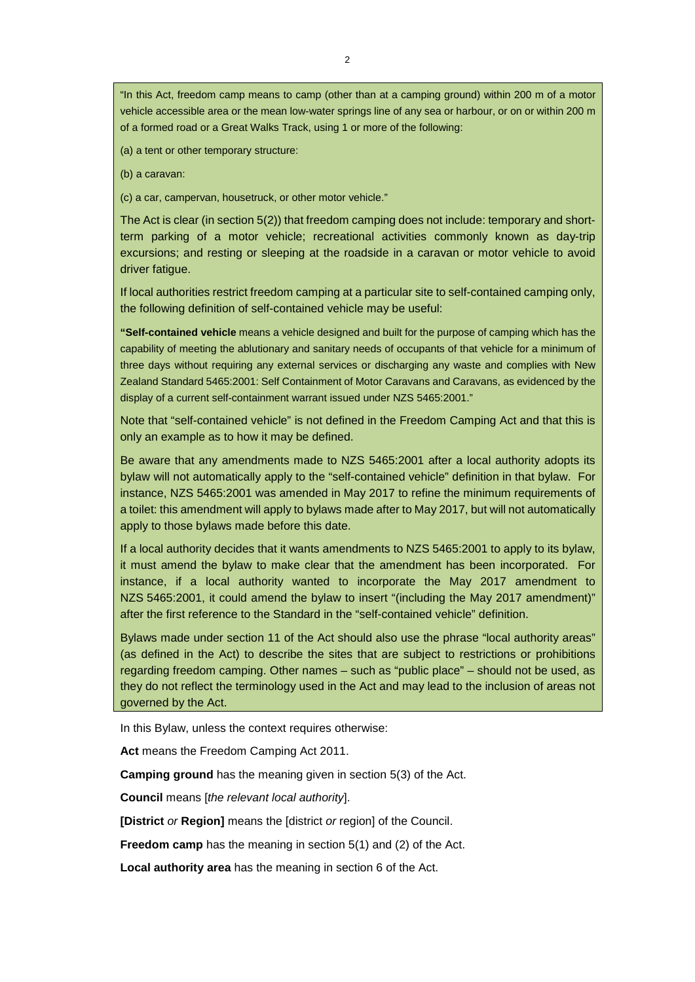"In this Act, freedom camp means to camp (other than at a camping ground) within 200 m of a motor vehicle accessible area or the mean low-water springs line of any sea or harbour, or on or within 200 m of a formed road or a Great Walks Track, using 1 or more of the following:

(a) a tent or other temporary structure:

(b) a caravan:

(c) a car, campervan, housetruck, or other motor vehicle."

The Act is clear (in section 5(2)) that freedom camping does not include: temporary and shortterm parking of a motor vehicle; recreational activities commonly known as day-trip excursions; and resting or sleeping at the roadside in a caravan or motor vehicle to avoid driver fatigue.

If local authorities restrict freedom camping at a particular site to self-contained camping only, the following definition of self-contained vehicle may be useful:

**"Self-contained vehicle** means a vehicle designed and built for the purpose of camping which has the capability of meeting the ablutionary and sanitary needs of occupants of that vehicle for a minimum of three days without requiring any external services or discharging any waste and complies with New Zealand Standard 5465:2001: Self Containment of Motor Caravans and Caravans, as evidenced by the display of a current self-containment warrant issued under NZS 5465:2001."

Note that "self-contained vehicle" is not defined in the Freedom Camping Act and that this is only an example as to how it may be defined.

Be aware that any amendments made to NZS 5465:2001 after a local authority adopts its bylaw will not automatically apply to the "self-contained vehicle" definition in that bylaw. For instance, NZS 5465:2001 was amended in May 2017 to refine the minimum requirements of a toilet: this amendment will apply to bylaws made after to May 2017, but will not automatically apply to those bylaws made before this date.

If a local authority decides that it wants amendments to NZS 5465:2001 to apply to its bylaw, it must amend the bylaw to make clear that the amendment has been incorporated. For instance, if a local authority wanted to incorporate the May 2017 amendment to NZS 5465:2001, it could amend the bylaw to insert "(including the May 2017 amendment)" after the first reference to the Standard in the "self-contained vehicle" definition.

Bylaws made under section 11 of the Act should also use the phrase "local authority areas" (as defined in the Act) to describe the sites that are subject to restrictions or prohibitions regarding freedom camping. Other names – such as "public place" – should not be used, as they do not reflect the terminology used in the Act and may lead to the inclusion of areas not governed by the Act.

In this Bylaw, unless the context requires otherwise:

**Act** means the Freedom Camping Act 2011.

**Camping ground** has the meaning given in section 5(3) of the Act.

**Council** means [*the relevant local authority*].

**[District** *or* **Region]** means the [district *or* region] of the Council.

**Freedom camp** has the meaning in section 5(1) and (2) of the Act.

**Local authority area** has the meaning in section 6 of the Act.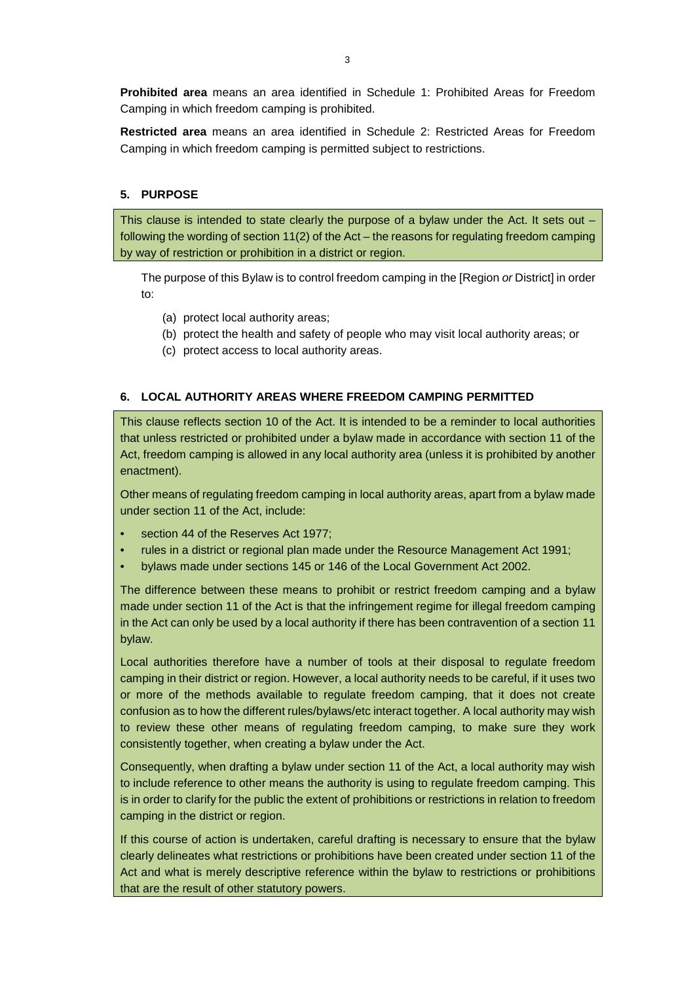**Prohibited area** means an area identified in Schedule 1: Prohibited Areas for Freedom Camping in which freedom camping is prohibited.

**Restricted area** means an area identified in Schedule 2: Restricted Areas for Freedom Camping in which freedom camping is permitted subject to restrictions.

# **5. PURPOSE**

This clause is intended to state clearly the purpose of a bylaw under the Act. It sets out following the wording of section 11(2) of the Act – the reasons for regulating freedom camping by way of restriction or prohibition in a district or region.

The purpose of this Bylaw is to control freedom camping in the [Region *or* District] in order to:

- (a) protect local authority areas;
- (b) protect the health and safety of people who may visit local authority areas; or
- (c) protect access to local authority areas.

#### **6. LOCAL AUTHORITY AREAS WHERE FREEDOM CAMPING PERMITTED**

This clause reflects section 10 of the Act. It is intended to be a reminder to local authorities that unless restricted or prohibited under a bylaw made in accordance with section 11 of the Act, freedom camping is allowed in any local authority area (unless it is prohibited by another enactment).

Other means of regulating freedom camping in local authority areas, apart from a bylaw made under section 11 of the Act, include:

- section 44 of the Reserves Act 1977;
- rules in a district or regional plan made under the Resource Management Act 1991;
- bylaws made under sections 145 or 146 of the Local Government Act 2002.

The difference between these means to prohibit or restrict freedom camping and a bylaw made under section 11 of the Act is that the infringement regime for illegal freedom camping in the Act can only be used by a local authority if there has been contravention of a section 11 bylaw.

Local authorities therefore have a number of tools at their disposal to regulate freedom camping in their district or region. However, a local authority needs to be careful, if it uses two or more of the methods available to regulate freedom camping, that it does not create confusion as to how the different rules/bylaws/etc interact together. A local authority may wish to review these other means of regulating freedom camping, to make sure they work consistently together, when creating a bylaw under the Act.

Consequently, when drafting a bylaw under section 11 of the Act, a local authority may wish to include reference to other means the authority is using to regulate freedom camping. This is in order to clarify for the public the extent of prohibitions or restrictions in relation to freedom camping in the district or region.

If this course of action is undertaken, careful drafting is necessary to ensure that the bylaw clearly delineates what restrictions or prohibitions have been created under section 11 of the Act and what is merely descriptive reference within the bylaw to restrictions or prohibitions that are the result of other statutory powers.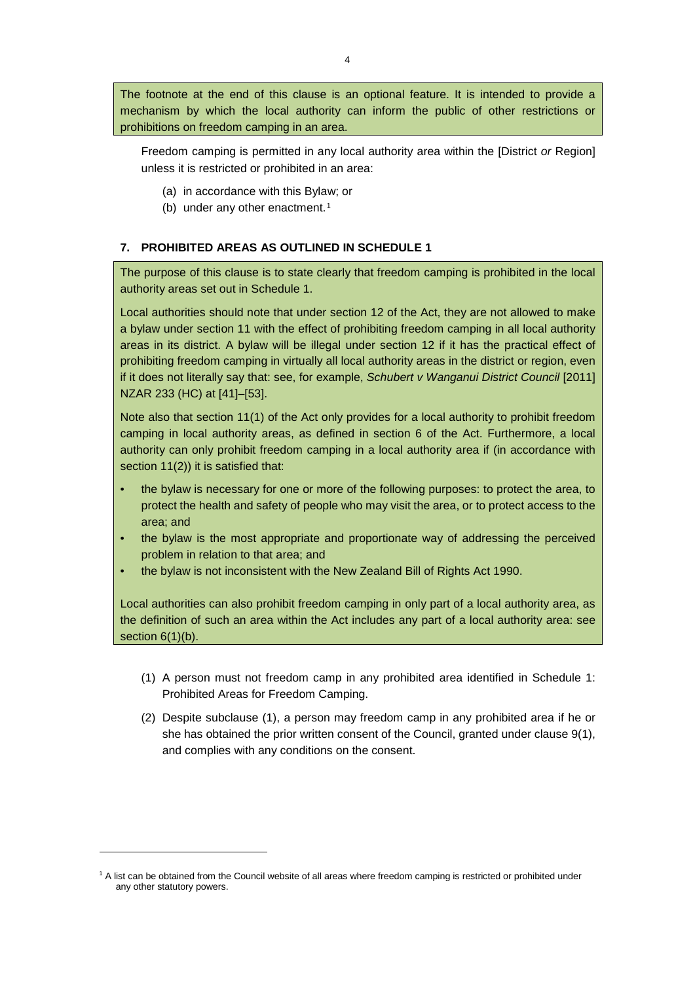The footnote at the end of this clause is an optional feature. It is intended to provide a mechanism by which the local authority can inform the public of other restrictions or prohibitions on freedom camping in an area.

Freedom camping is permitted in any local authority area within the [District *or* Region] unless it is restricted or prohibited in an area:

- (a) in accordance with this Bylaw; or
- (b) under any other enactment.<sup>[1](#page-3-0)</sup>

## **7. PROHIBITED AREAS AS OUTLINED IN SCHEDULE 1**

The purpose of this clause is to state clearly that freedom camping is prohibited in the local authority areas set out in Schedule 1.

Local authorities should note that under section 12 of the Act, they are not allowed to make a bylaw under section 11 with the effect of prohibiting freedom camping in all local authority areas in its district. A bylaw will be illegal under section 12 if it has the practical effect of prohibiting freedom camping in virtually all local authority areas in the district or region, even if it does not literally say that: see, for example, *Schubert v Wanganui District Council* [2011] NZAR 233 (HC) at [41]–[53].

Note also that section 11(1) of the Act only provides for a local authority to prohibit freedom camping in local authority areas, as defined in section 6 of the Act. Furthermore, a local authority can only prohibit freedom camping in a local authority area if (in accordance with section 11(2)) it is satisfied that:

- the bylaw is necessary for one or more of the following purposes: to protect the area, to protect the health and safety of people who may visit the area, or to protect access to the area; and
- the bylaw is the most appropriate and proportionate way of addressing the perceived problem in relation to that area; and
- the bylaw is not inconsistent with the New Zealand Bill of Rights Act 1990.

Local authorities can also prohibit freedom camping in only part of a local authority area, as the definition of such an area within the Act includes any part of a local authority area: see section  $6(1)(b)$ .

- (1) A person must not freedom camp in any prohibited area identified in Schedule 1: Prohibited Areas for Freedom Camping.
- (2) Despite subclause (1), a person may freedom camp in any prohibited area if he or she has obtained the prior written consent of the Council, granted under clause 9(1), and complies with any conditions on the consent.

-

<span id="page-3-0"></span><sup>&</sup>lt;sup>1</sup> A list can be obtained from the Council website of all areas where freedom camping is restricted or prohibited under any other statutory powers.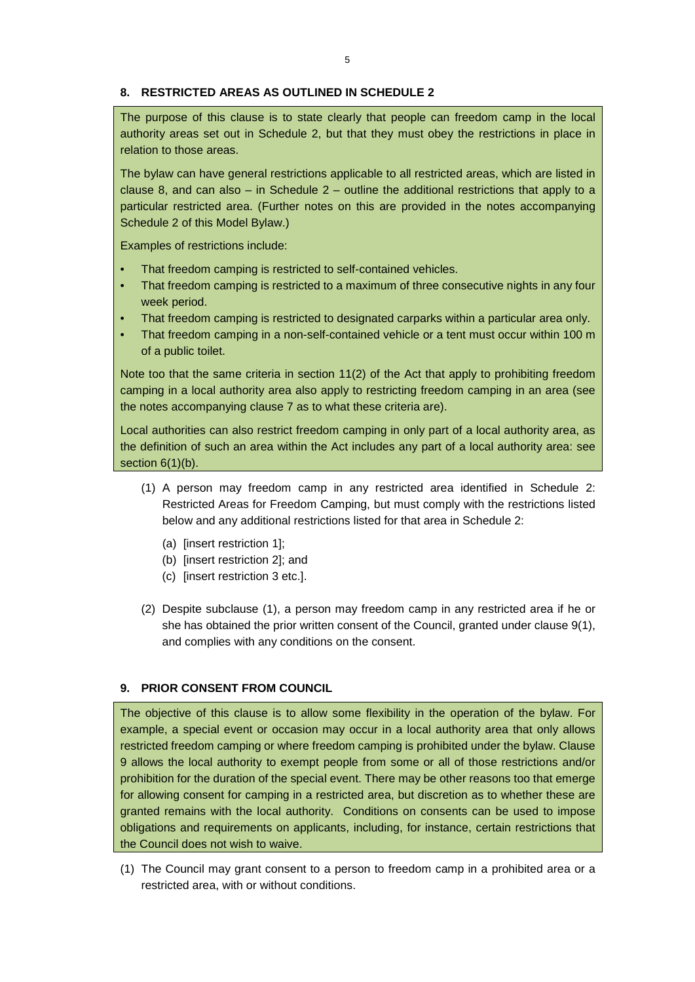#### **8. RESTRICTED AREAS AS OUTLINED IN SCHEDULE 2**

The purpose of this clause is to state clearly that people can freedom camp in the local authority areas set out in Schedule 2, but that they must obey the restrictions in place in relation to those areas.

The bylaw can have general restrictions applicable to all restricted areas, which are listed in clause 8, and can also  $-$  in Schedule 2  $-$  outline the additional restrictions that apply to a particular restricted area. (Further notes on this are provided in the notes accompanying Schedule 2 of this Model Bylaw.)

Examples of restrictions include:

- That freedom camping is restricted to self-contained vehicles.
- That freedom camping is restricted to a maximum of three consecutive nights in any four week period.
- That freedom camping is restricted to designated carparks within a particular area only.
- That freedom camping in a non-self-contained vehicle or a tent must occur within 100 m of a public toilet.

Note too that the same criteria in section 11(2) of the Act that apply to prohibiting freedom camping in a local authority area also apply to restricting freedom camping in an area (see the notes accompanying clause 7 as to what these criteria are).

Local authorities can also restrict freedom camping in only part of a local authority area, as the definition of such an area within the Act includes any part of a local authority area: see section  $6(1)(b)$ .

- (1) A person may freedom camp in any restricted area identified in Schedule 2: Restricted Areas for Freedom Camping, but must comply with the restrictions listed below and any additional restrictions listed for that area in Schedule 2:
	- (a) [insert restriction 1];
	- (b) [insert restriction 2]; and
	- (c) [insert restriction 3 etc.].
- (2) Despite subclause (1), a person may freedom camp in any restricted area if he or she has obtained the prior written consent of the Council, granted under clause 9(1), and complies with any conditions on the consent.

## **9. PRIOR CONSENT FROM COUNCIL**

The objective of this clause is to allow some flexibility in the operation of the bylaw. For example, a special event or occasion may occur in a local authority area that only allows restricted freedom camping or where freedom camping is prohibited under the bylaw. Clause 9 allows the local authority to exempt people from some or all of those restrictions and/or prohibition for the duration of the special event. There may be other reasons too that emerge for allowing consent for camping in a restricted area, but discretion as to whether these are granted remains with the local authority. Conditions on consents can be used to impose obligations and requirements on applicants, including, for instance, certain restrictions that the Council does not wish to waive.

(1) The Council may grant consent to a person to freedom camp in a prohibited area or a restricted area, with or without conditions.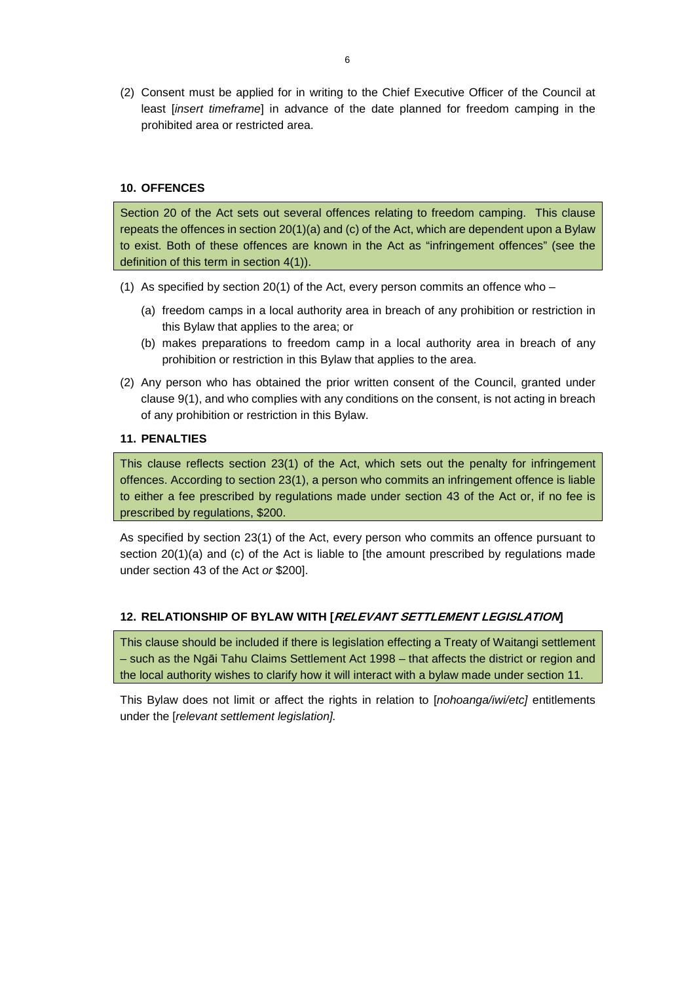(2) Consent must be applied for in writing to the Chief Executive Officer of the Council at least [*insert timeframe*] in advance of the date planned for freedom camping in the prohibited area or restricted area.

## **10. OFFENCES**

Section 20 of the Act sets out several offences relating to freedom camping. This clause repeats the offences in section 20(1)(a) and (c) of the Act, which are dependent upon a Bylaw to exist. Both of these offences are known in the Act as "infringement offences" (see the definition of this term in section 4(1)).

- (1) As specified by section 20(1) of the Act, every person commits an offence who
	- (a) freedom camps in a local authority area in breach of any prohibition or restriction in this Bylaw that applies to the area; or
	- (b) makes preparations to freedom camp in a local authority area in breach of any prohibition or restriction in this Bylaw that applies to the area.
- (2) Any person who has obtained the prior written consent of the Council, granted under clause 9(1), and who complies with any conditions on the consent, is not acting in breach of any prohibition or restriction in this Bylaw.

# **11. PENALTIES**

This clause reflects section 23(1) of the Act, which sets out the penalty for infringement offences. According to section 23(1), a person who commits an infringement offence is liable to either a fee prescribed by regulations made under section 43 of the Act or, if no fee is prescribed by regulations, \$200.

As specified by section 23(1) of the Act, every person who commits an offence pursuant to section 20(1)(a) and (c) of the Act is liable to [the amount prescribed by regulations made under section 43 of the Act *or* \$200].

## **12. RELATIONSHIP OF BYLAW WITH [RELEVANT SETTLEMENT LEGISLATION]**

This clause should be included if there is legislation effecting a Treaty of Waitangi settlement – such as the Ngāi Tahu Claims Settlement Act 1998 – that affects the district or region and the local authority wishes to clarify how it will interact with a bylaw made under section 11.

This Bylaw does not limit or affect the rights in relation to [*nohoanga/iwi/etc]* entitlements under the [*relevant settlement legislation].*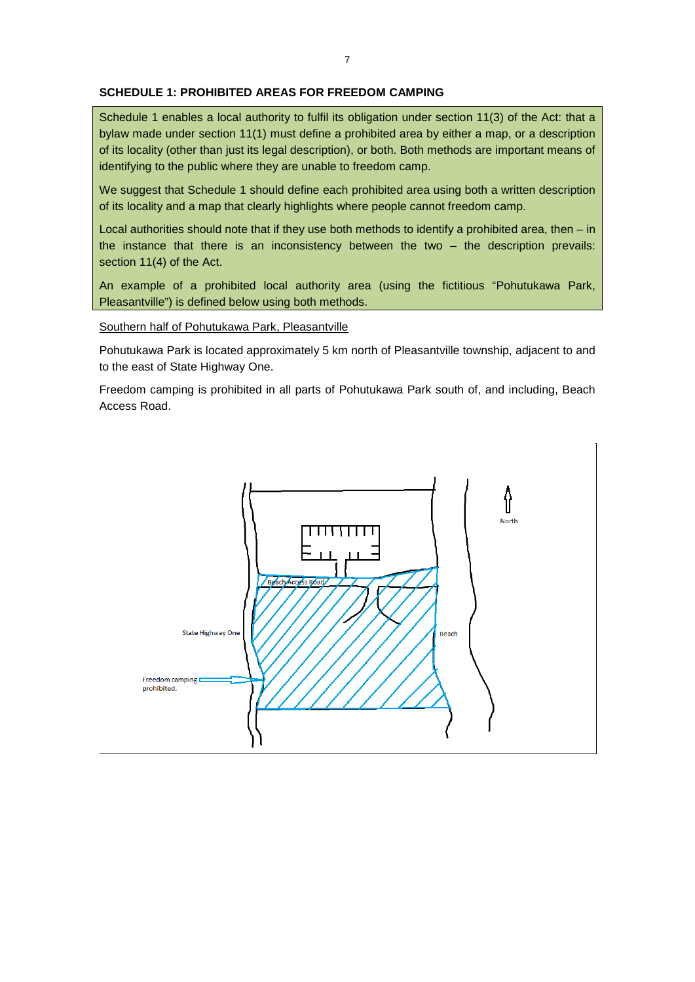#### **SCHEDULE 1: PROHIBITED AREAS FOR FREEDOM CAMPING**

Schedule 1 enables a local authority to fulfil its obligation under section 11(3) of the Act: that a bylaw made under section 11(1) must define a prohibited area by either a map, or a description of its locality (other than just its legal description), or both. Both methods are important means of identifying to the public where they are unable to freedom camp.

We suggest that Schedule 1 should define each prohibited area using both a written description of its locality and a map that clearly highlights where people cannot freedom camp.

Local authorities should note that if they use both methods to identify a prohibited area, then – in the instance that there is an inconsistency between the two – the description prevails: section 11(4) of the Act.

An example of a prohibited local authority area (using the fictitious "Pohutukawa Park, Pleasantville") is defined below using both methods.

Southern half of Pohutukawa Park, Pleasantville

Pohutukawa Park is located approximately 5 km north of Pleasantville township, adjacent to and to the east of State Highway One.

Freedom camping is prohibited in all parts of Pohutukawa Park south of, and including, Beach Access Road.

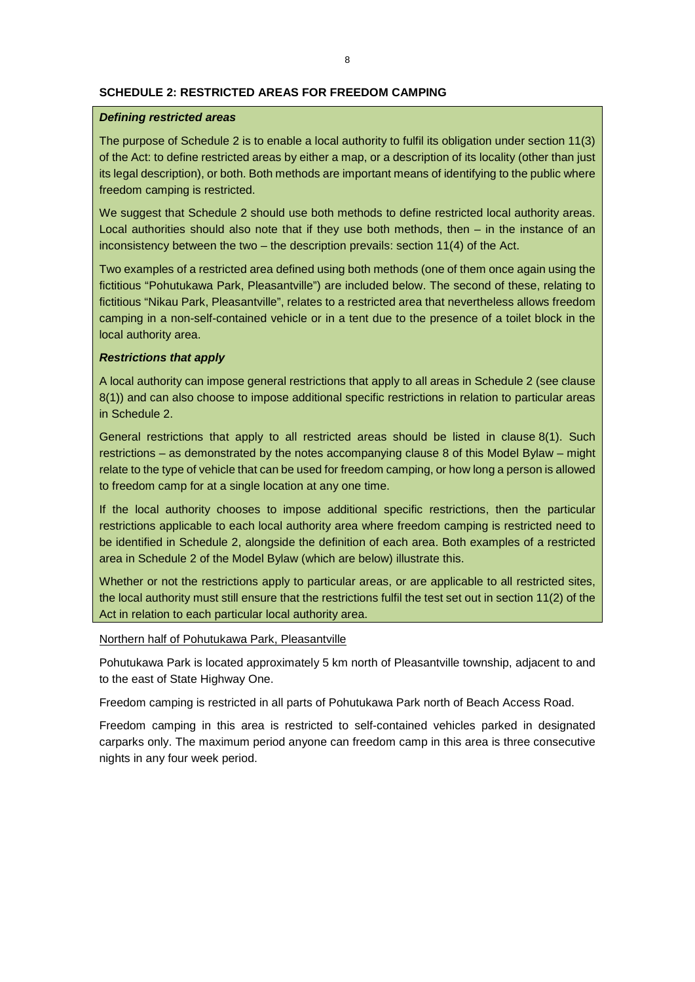#### **SCHEDULE 2: RESTRICTED AREAS FOR FREEDOM CAMPING**

#### *Defining restricted areas*

The purpose of Schedule 2 is to enable a local authority to fulfil its obligation under section 11(3) of the Act: to define restricted areas by either a map, or a description of its locality (other than just its legal description), or both. Both methods are important means of identifying to the public where freedom camping is restricted.

We suggest that Schedule 2 should use both methods to define restricted local authority areas. Local authorities should also note that if they use both methods, then – in the instance of an inconsistency between the two – the description prevails: section 11(4) of the Act.

Two examples of a restricted area defined using both methods (one of them once again using the fictitious "Pohutukawa Park, Pleasantville") are included below. The second of these, relating to fictitious "Nikau Park, Pleasantville", relates to a restricted area that nevertheless allows freedom camping in a non-self-contained vehicle or in a tent due to the presence of a toilet block in the local authority area.

## *Restrictions that apply*

A local authority can impose general restrictions that apply to all areas in Schedule 2 (see clause 8(1)) and can also choose to impose additional specific restrictions in relation to particular areas in Schedule 2.

General restrictions that apply to all restricted areas should be listed in clause 8(1). Such restrictions – as demonstrated by the notes accompanying clause 8 of this Model Bylaw – might relate to the type of vehicle that can be used for freedom camping, or how long a person is allowed to freedom camp for at a single location at any one time.

If the local authority chooses to impose additional specific restrictions, then the particular restrictions applicable to each local authority area where freedom camping is restricted need to be identified in Schedule 2, alongside the definition of each area. Both examples of a restricted area in Schedule 2 of the Model Bylaw (which are below) illustrate this.

Whether or not the restrictions apply to particular areas, or are applicable to all restricted sites, the local authority must still ensure that the restrictions fulfil the test set out in section 11(2) of the Act in relation to each particular local authority area.

Northern half of Pohutukawa Park, Pleasantville

Pohutukawa Park is located approximately 5 km north of Pleasantville township, adjacent to and to the east of State Highway One.

Freedom camping is restricted in all parts of Pohutukawa Park north of Beach Access Road.

Freedom camping in this area is restricted to self-contained vehicles parked in designated carparks only. The maximum period anyone can freedom camp in this area is three consecutive nights in any four week period.